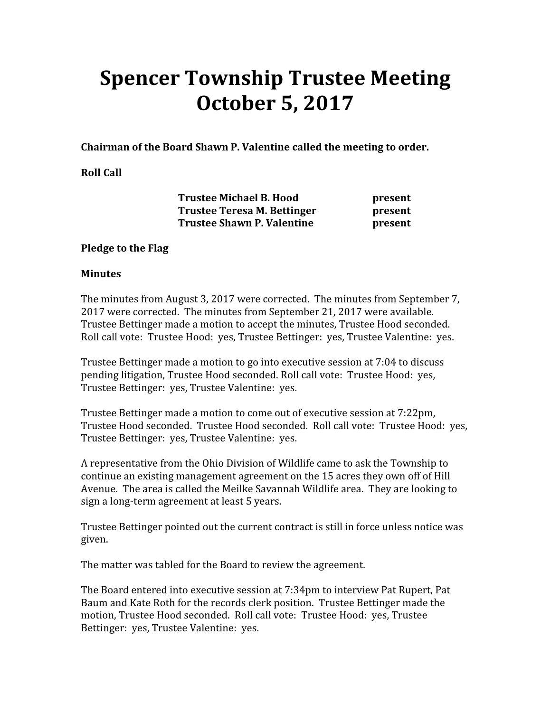# Spencer Township Trustee Meeting October 5, 2017

Chairman of the Board Shawn P. Valentine called the meeting to order.

#### Roll Call

Trustee Michael B. Hood **present** Trustee Teresa M. Bettinger **present** Trustee Shawn P. Valentine **present** 

#### Pledge to the Flag

#### **Minutes**

The minutes from August 3, 2017 were corrected. The minutes from September 7, 2017 were corrected. The minutes from September 21, 2017 were available. Trustee Bettinger made a motion to accept the minutes, Trustee Hood seconded. Roll call vote: Trustee Hood: yes, Trustee Bettinger: yes, Trustee Valentine: yes.

Trustee Bettinger made a motion to go into executive session at 7:04 to discuss pending litigation, Trustee Hood seconded. Roll call vote: Trustee Hood: yes, Trustee Bettinger: yes, Trustee Valentine: yes.

Trustee Bettinger made a motion to come out of executive session at 7:22pm, Trustee Hood seconded. Trustee Hood seconded. Roll call vote: Trustee Hood: yes, Trustee Bettinger: yes, Trustee Valentine: yes.

A representative from the Ohio Division of Wildlife came to ask the Township to continue an existing management agreement on the 15 acres they own off of Hill Avenue. The area is called the Meilke Savannah Wildlife area. They are looking to sign a long-term agreement at least 5 years.

Trustee Bettinger pointed out the current contract is still in force unless notice was given.

The matter was tabled for the Board to review the agreement.

The Board entered into executive session at 7:34pm to interview Pat Rupert, Pat Baum and Kate Roth for the records clerk position. Trustee Bettinger made the motion, Trustee Hood seconded. Roll call vote: Trustee Hood: yes, Trustee Bettinger: yes, Trustee Valentine: yes.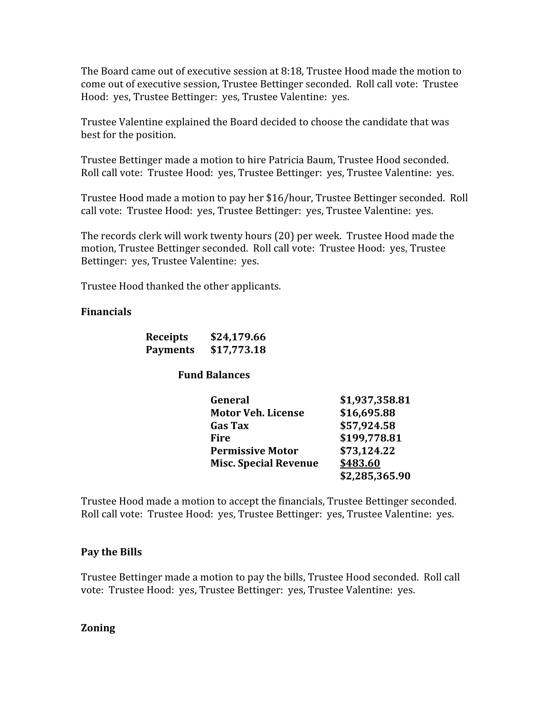The Board came out of executive session at 8:18, Trustee Hood made the motion to come out of executive session, Trustee Bettinger seconded. Roll call vote: Trustee Hood: yes, Trustee Bettinger: yes, Trustee Valentine: yes.

Trustee Valentine explained the Board decided to choose the candidate that was best for the position.

Trustee Bettinger made a motion to hire Patricia Baum, Trustee Hood seconded. Roll call vote: Trustee Hood: yes, Trustee Bettinger: yes, Trustee Valentine: yes.

Trustee Hood made a motion to pay her \$16/hour, Trustee Bettinger seconded. Roll call vote: Trustee Hood: yes, Trustee Bettinger: yes, Trustee Valentine: yes.

The records clerk will work twenty hours (20) per week. Trustee Hood made the motion, Trustee Bettinger seconded. Roll call vote: Trustee Hood: yes, Trustee Bettinger: yes, Trustee Valentine: yes.

Trustee Hood thanked the other applicants.

#### Financials

| <b>Receipts</b> | \$24,179.66 |
|-----------------|-------------|
| <b>Payments</b> | \$17,773.18 |

#### Fund Balances

|      | General                      | \$1,937,358.81 |
|------|------------------------------|----------------|
|      | <b>Motor Veh. License</b>    | \$16,695.88    |
|      | <b>Gas Tax</b>               | \$57,924.58    |
| Fire |                              | \$199,778.81   |
|      | <b>Permissive Motor</b>      | \$73,124.22    |
|      | <b>Misc. Special Revenue</b> | \$483.60       |
|      |                              | \$2,285,365.90 |

Trustee Hood made a motion to accept the financials, Trustee Bettinger seconded. Roll call vote: Trustee Hood: yes, Trustee Bettinger: yes, Trustee Valentine: yes.

#### Pay the Bills

Trustee Bettinger made a motion to pay the bills, Trustee Hood seconded. Roll call vote: Trustee Hood: yes, Trustee Bettinger: yes, Trustee Valentine: yes.

#### Zoning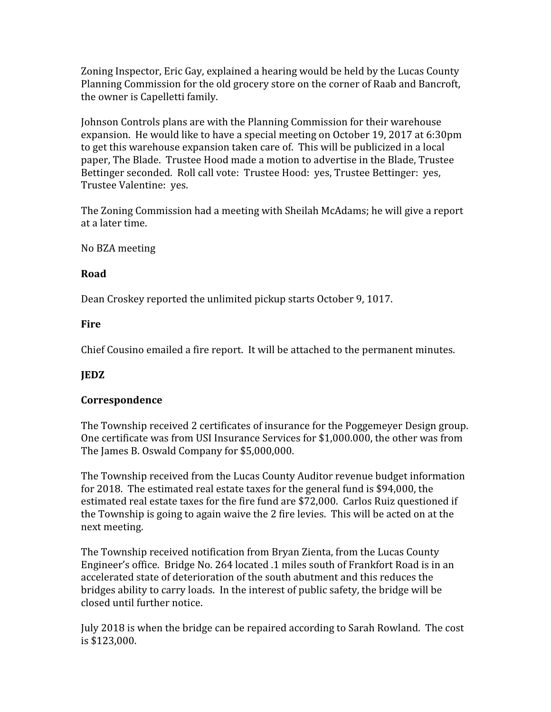Zoning Inspector, Eric Gay, explained a hearing would be held by the Lucas County Planning Commission for the old grocery store on the corner of Raab and Bancroft, the owner is Capelletti family.

Johnson Controls plans are with the Planning Commission for their warehouse expansion. He would like to have a special meeting on October 19, 2017 at 6:30pm to get this warehouse expansion taken care of. This will be publicized in a local paper, The Blade. Trustee Hood made a motion to advertise in the Blade, Trustee Bettinger seconded. Roll call vote: Trustee Hood: yes, Trustee Bettinger: yes, Trustee Valentine: yes.

The Zoning Commission had a meeting with Sheilah McAdams; he will give a report at a later time.

No BZA meeting

## Road

Dean Croskey reported the unlimited pickup starts October 9, 1017.

## **Fire**

Chief Cousino emailed a fire report. It will be attached to the permanent minutes.

# JEDZ

#### Correspondence

The Township received 2 certificates of insurance for the Poggemeyer Design group. One certificate was from USI Insurance Services for \$1,000.000, the other was from The James B. Oswald Company for \$5,000,000.

The Township received from the Lucas County Auditor revenue budget information for 2018. The estimated real estate taxes for the general fund is \$94,000, the estimated real estate taxes for the fire fund are \$72,000. Carlos Ruiz questioned if the Township is going to again waive the 2 fire levies. This will be acted on at the next meeting.

The Township received notification from Bryan Zienta, from the Lucas County Engineer's office. Bridge No. 264 located .1 miles south of Frankfort Road is in an accelerated state of deterioration of the south abutment and this reduces the bridges ability to carry loads. In the interest of public safety, the bridge will be closed until further notice.

July 2018 is when the bridge can be repaired according to Sarah Rowland. The cost is \$123,000.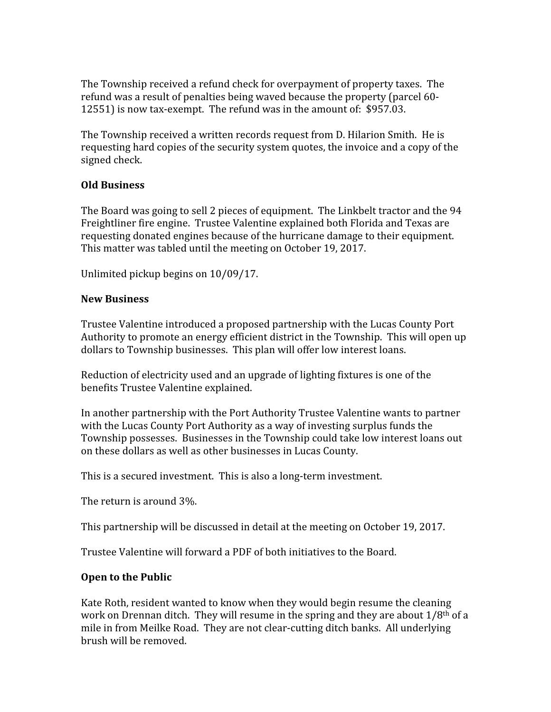The Township received a refund check for overpayment of property taxes. The refund was a result of penalties being waved because the property (parcel 60- 12551) is now tax-exempt. The refund was in the amount of: \$957.03.

The Township received a written records request from D. Hilarion Smith. He is requesting hard copies of the security system quotes, the invoice and a copy of the signed check.

## Old Business

The Board was going to sell 2 pieces of equipment. The Linkbelt tractor and the 94 Freightliner fire engine. Trustee Valentine explained both Florida and Texas are requesting donated engines because of the hurricane damage to their equipment. This matter was tabled until the meeting on October 19, 2017.

Unlimited pickup begins on 10/09/17.

## New Business

Trustee Valentine introduced a proposed partnership with the Lucas County Port Authority to promote an energy efficient district in the Township. This will open up dollars to Township businesses. This plan will offer low interest loans.

Reduction of electricity used and an upgrade of lighting fixtures is one of the benefits Trustee Valentine explained.

In another partnership with the Port Authority Trustee Valentine wants to partner with the Lucas County Port Authority as a way of investing surplus funds the Township possesses. Businesses in the Township could take low interest loans out on these dollars as well as other businesses in Lucas County.

This is a secured investment. This is also a long-term investment.

The return is around 3%.

This partnership will be discussed in detail at the meeting on October 19, 2017.

Trustee Valentine will forward a PDF of both initiatives to the Board.

# Open to the Public

Kate Roth, resident wanted to know when they would begin resume the cleaning work on Drennan ditch. They will resume in the spring and they are about 1/8th of a mile in from Meilke Road. They are not clear-cutting ditch banks. All underlying brush will be removed.